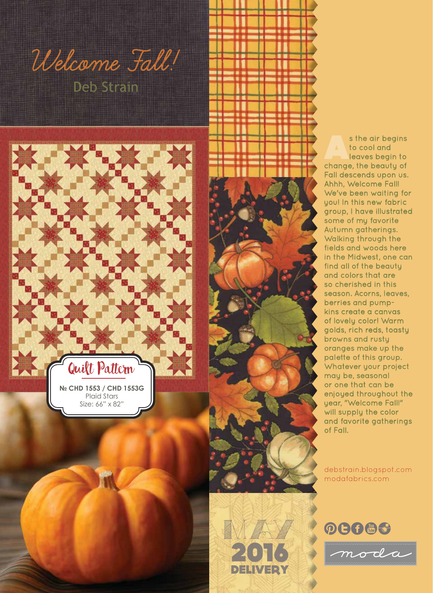

Quilt Pattern

**№ CHD 1553 / CHD 1553G**  Plaid Stars Size: 66" x 82"

1



debstrain.blogspot.com modafabrics.com



2016

 $M$ 

DELIVERY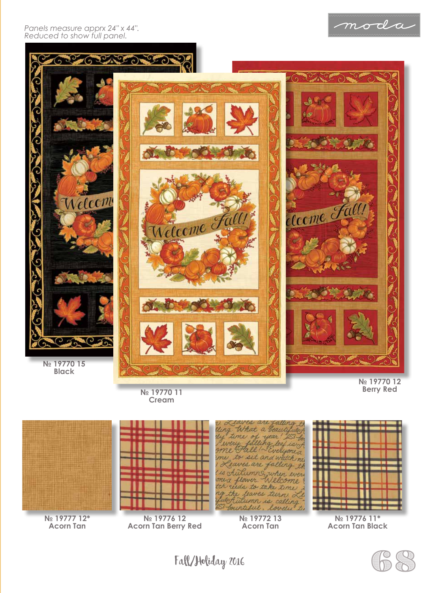



**№ 19770 12**



**Acorn Tan**

**№ 19776 12 Acorn Tan Berry Red**

**N**<sup>°</sup> 19770 11 **Cream**





**Acorn Tan Black**

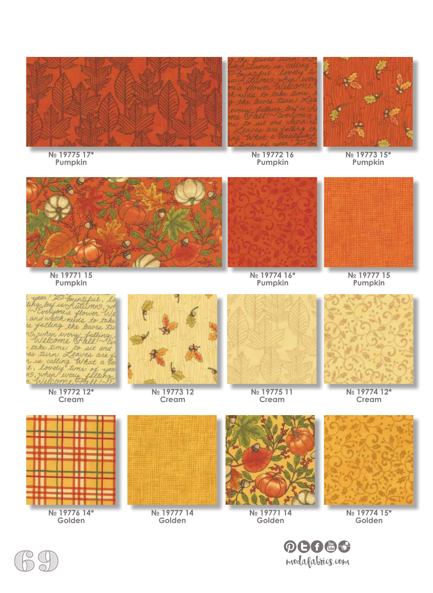

**№ 19775 17\* Pumpkin**

**№ 19772 16 Pumpkin**

**№ 19773 15\* Pumpkin**





**№ 19774 16\* Pumpkin**



**№ 19777 15 Pumpkin**





**Cream**



**№ 19773 12 Cream**



**№ 19775 11 Cream**



**№ 19774 12\* Cream**



**Golden**



**№ 19777 14 Golden**



**№ 19771 14 Golden**



**№ 19774 15\* Golden**